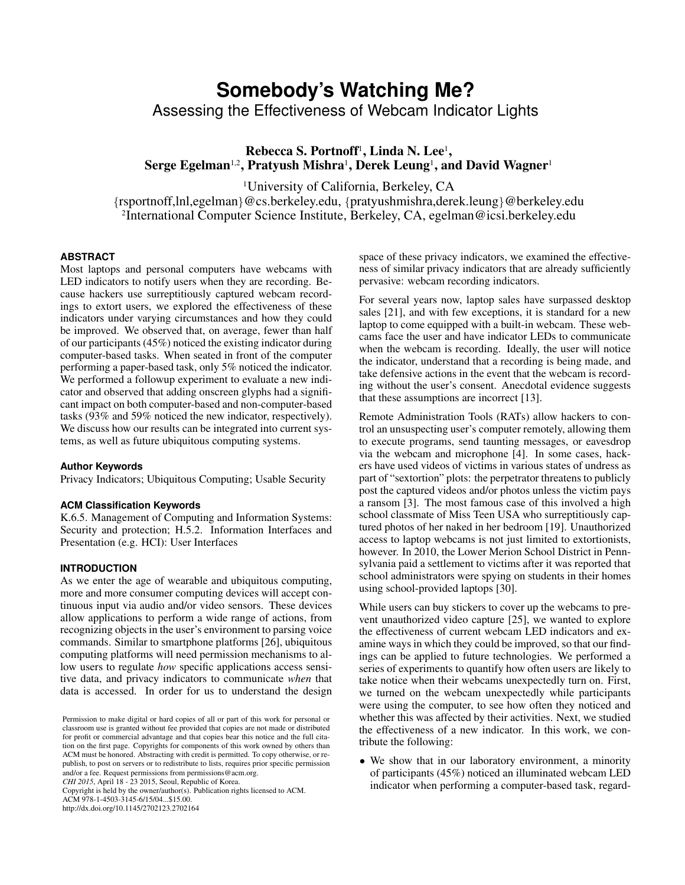# **Somebody's Watching Me?**

Assessing the Effectiveness of Webcam Indicator Lights

## Rebecca S. Portnoff<sup>1</sup>, Linda N. Lee<sup>1</sup>,  $\rm Serge$  Egelman $^{1,2}$ , Pratyush Mishra $^1$ , Derek Leung $^1$ , and David Wagner $^1$

<sup>1</sup>University of California, Berkeley, CA

{rsportnoff,lnl,egelman}@cs.berkeley.edu, {pratyushmishra,derek.leung}@berkeley.edu 2 International Computer Science Institute, Berkeley, CA, egelman@icsi.berkeley.edu

#### **ABSTRACT**

Most laptops and personal computers have webcams with LED indicators to notify users when they are recording. Because hackers use surreptitiously captured webcam recordings to extort users, we explored the effectiveness of these indicators under varying circumstances and how they could be improved. We observed that, on average, fewer than half of our participants (45%) noticed the existing indicator during computer-based tasks. When seated in front of the computer performing a paper-based task, only 5% noticed the indicator. We performed a followup experiment to evaluate a new indicator and observed that adding onscreen glyphs had a significant impact on both computer-based and non-computer-based tasks (93% and 59% noticed the new indicator, respectively). We discuss how our results can be integrated into current systems, as well as future ubiquitous computing systems.

#### **Author Keywords**

Privacy Indicators; Ubiquitous Computing; Usable Security

#### **ACM Classification Keywords**

K.6.5. Management of Computing and Information Systems: Security and protection; H.5.2. Information Interfaces and Presentation (e.g. HCI): User Interfaces

#### **INTRODUCTION**

As we enter the age of wearable and ubiquitous computing, more and more consumer computing devices will accept continuous input via audio and/or video sensors. These devices allow applications to perform a wide range of actions, from recognizing objects in the user's environment to parsing voice commands. Similar to smartphone platforms [\[26\]](#page-9-0), ubiquitous computing platforms will need permission mechanisms to allow users to regulate *how* specific applications access sensitive data, and privacy indicators to communicate *when* that data is accessed. In order for us to understand the design

*CHI 2015*, April 18 - 23 2015, Seoul, Republic of Korea.

Copyright is held by the owner/author(s). Publication rights licensed to ACM. ACM 978-1-4503-3145-6/15/04...\$15.00.

http://dx.doi.org/10.1145/2702123.2702164

space of these privacy indicators, we examined the effectiveness of similar privacy indicators that are already sufficiently pervasive: webcam recording indicators.

For several years now, laptop sales have surpassed desktop sales [\[21\]](#page-9-1), and with few exceptions, it is standard for a new laptop to come equipped with a built-in webcam. These webcams face the user and have indicator LEDs to communicate when the webcam is recording. Ideally, the user will notice the indicator, understand that a recording is being made, and take defensive actions in the event that the webcam is recording without the user's consent. Anecdotal evidence suggests that these assumptions are incorrect [\[13\]](#page-8-0).

Remote Administration Tools (RATs) allow hackers to control an unsuspecting user's computer remotely, allowing them to execute programs, send taunting messages, or eavesdrop via the webcam and microphone [\[4\]](#page-8-1). In some cases, hackers have used videos of victims in various states of undress as part of "sextortion" plots: the perpetrator threatens to publicly post the captured videos and/or photos unless the victim pays a ransom [\[3\]](#page-8-2). The most famous case of this involved a high school classmate of Miss Teen USA who surreptitiously captured photos of her naked in her bedroom [\[19\]](#page-9-2). Unauthorized access to laptop webcams is not just limited to extortionists, however. In 2010, the Lower Merion School District in Pennsylvania paid a settlement to victims after it was reported that school administrators were spying on students in their homes using school-provided laptops [\[30\]](#page-9-3).

While users can buy stickers to cover up the webcams to prevent unauthorized video capture [\[25\]](#page-9-4), we wanted to explore the effectiveness of current webcam LED indicators and examine ways in which they could be improved, so that our findings can be applied to future technologies. We performed a series of experiments to quantify how often users are likely to take notice when their webcams unexpectedly turn on. First, we turned on the webcam unexpectedly while participants were using the computer, to see how often they noticed and whether this was affected by their activities. Next, we studied the effectiveness of a new indicator. In this work, we contribute the following:

• We show that in our laboratory environment, a minority of participants (45%) noticed an illuminated webcam LED indicator when performing a computer-based task, regard-

Permission to make digital or hard copies of all or part of this work for personal or classroom use is granted without fee provided that copies are not made or distributed for profit or commercial advantage and that copies bear this notice and the full citation on the first page. Copyrights for components of this work owned by others than ACM must be honored. Abstracting with credit is permitted. To copy otherwise, or republish, to post on servers or to redistribute to lists, requires prior specific permission and/or a fee. Request permissions from permissions@acm.org.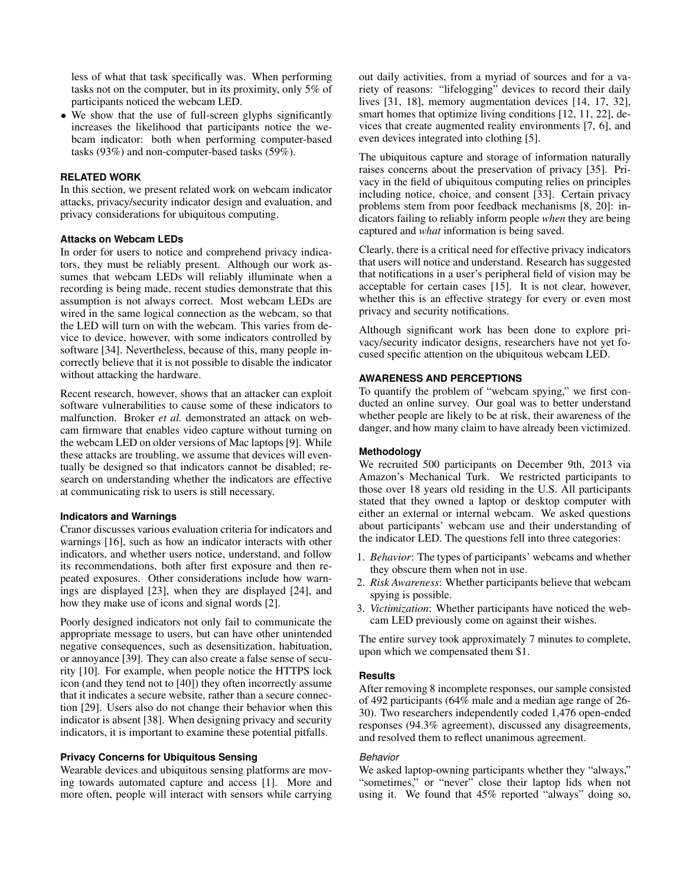less of what that task specifically was. When performing tasks not on the computer, but in its proximity, only 5% of participants noticed the webcam LED.

• We show that the use of full-screen glyphs significantly increases the likelihood that participants notice the webcam indicator: both when performing computer-based tasks (93%) and non-computer-based tasks (59%).

## **RELATED WORK**

In this section, we present related work on webcam indicator attacks, privacy/security indicator design and evaluation, and privacy considerations for ubiquitous computing.

## **Attacks on Webcam LEDs**

In order for users to notice and comprehend privacy indicators, they must be reliably present. Although our work assumes that webcam LEDs will reliably illuminate when a recording is being made, recent studies demonstrate that this assumption is not always correct. Most webcam LEDs are wired in the same logical connection as the webcam, so that the LED will turn on with the webcam. This varies from device to device, however, with some indicators controlled by software [\[34\]](#page-9-5). Nevertheless, because of this, many people incorrectly believe that it is not possible to disable the indicator without attacking the hardware.

Recent research, however, shows that an attacker can exploit software vulnerabilities to cause some of these indicators to malfunction. Broker *et al.* demonstrated an attack on webcam firmware that enables video capture without turning on the webcam LED on older versions of Mac laptops [\[9\]](#page-8-3). While these attacks are troubling, we assume that devices will eventually be designed so that indicators cannot be disabled; research on understanding whether the indicators are effective at communicating risk to users is still necessary.

#### **Indicators and Warnings**

Cranor discusses various evaluation criteria for indicators and warnings [\[16\]](#page-8-4), such as how an indicator interacts with other indicators, and whether users notice, understand, and follow its recommendations, both after first exposure and then repeated exposures. Other considerations include how warnings are displayed [\[23\]](#page-9-6), when they are displayed [\[24\]](#page-9-7), and how they make use of icons and signal words [\[2\]](#page-8-5).

Poorly designed indicators not only fail to communicate the appropriate message to users, but can have other unintended negative consequences, such as desensitization, habituation, or annoyance [\[39\]](#page-9-8). They can also create a false sense of security [\[10\]](#page-8-6). For example, when people notice the HTTPS lock icon (and they tend not to [\[40\]](#page-9-9)) they often incorrectly assume that it indicates a secure website, rather than a secure connection [\[29\]](#page-9-10). Users also do not change their behavior when this indicator is absent [\[38\]](#page-9-11). When designing privacy and security indicators, it is important to examine these potential pitfalls.

## **Privacy Concerns for Ubiquitous Sensing**

Wearable devices and ubiquitous sensing platforms are moving towards automated capture and access [\[1\]](#page-8-7). More and more often, people will interact with sensors while carrying out daily activities, from a myriad of sources and for a variety of reasons: "lifelogging" devices to record their daily lives [\[31,](#page-9-12) [18\]](#page-9-13), memory augmentation devices [\[14,](#page-8-8) [17,](#page-9-14) [32\]](#page-9-15), smart homes that optimize living conditions [\[12,](#page-8-9) [11,](#page-8-10) [22\]](#page-9-16), devices that create augmented reality environments [\[7,](#page-8-11) [6\]](#page-8-12), and even devices integrated into clothing [\[5\]](#page-8-13).

The ubiquitous capture and storage of information naturally raises concerns about the preservation of privacy [\[35\]](#page-9-17). Privacy in the field of ubiquitous computing relies on principles including notice, choice, and consent [\[33\]](#page-9-18). Certain privacy problems stem from poor feedback mechanisms [\[8,](#page-8-14) [20\]](#page-9-19): indicators failing to reliably inform people *when* they are being captured and *what* information is being saved.

Clearly, there is a critical need for effective privacy indicators that users will notice and understand. Research has suggested that notifications in a user's peripheral field of vision may be acceptable for certain cases [\[15\]](#page-8-15). It is not clear, however, whether this is an effective strategy for every or even most privacy and security notifications.

Although significant work has been done to explore privacy/security indicator designs, researchers have not yet focused specific attention on the ubiquitous webcam LED.

## **AWARENESS AND PERCEPTIONS**

To quantify the problem of "webcam spying," we first conducted an online survey. Our goal was to better understand whether people are likely to be at risk, their awareness of the danger, and how many claim to have already been victimized.

## **Methodology**

We recruited 500 participants on December 9th, 2013 via Amazon's Mechanical Turk. We restricted participants to those over 18 years old residing in the U.S. All participants stated that they owned a laptop or desktop computer with either an external or internal webcam. We asked questions about participants' webcam use and their understanding of the indicator LED. The questions fell into three categories:

- 1. *Behavior*: The types of participants' webcams and whether they obscure them when not in use.
- 2. *Risk Awareness*: Whether participants believe that webcam spying is possible.
- 3. *Victimization*: Whether participants have noticed the webcam LED previously come on against their wishes.

The entire survey took approximately 7 minutes to complete, upon which we compensated them \$1.

## **Results**

After removing 8 incomplete responses, our sample consisted of 492 participants (64% male and a median age range of 26- 30). Two researchers independently coded 1,476 open-ended responses (94.3% agreement), discussed any disagreements, and resolved them to reflect unanimous agreement.

#### *Behavior*

We asked laptop-owning participants whether they "always," "sometimes," or "never" close their laptop lids when not using it. We found that 45% reported "always" doing so,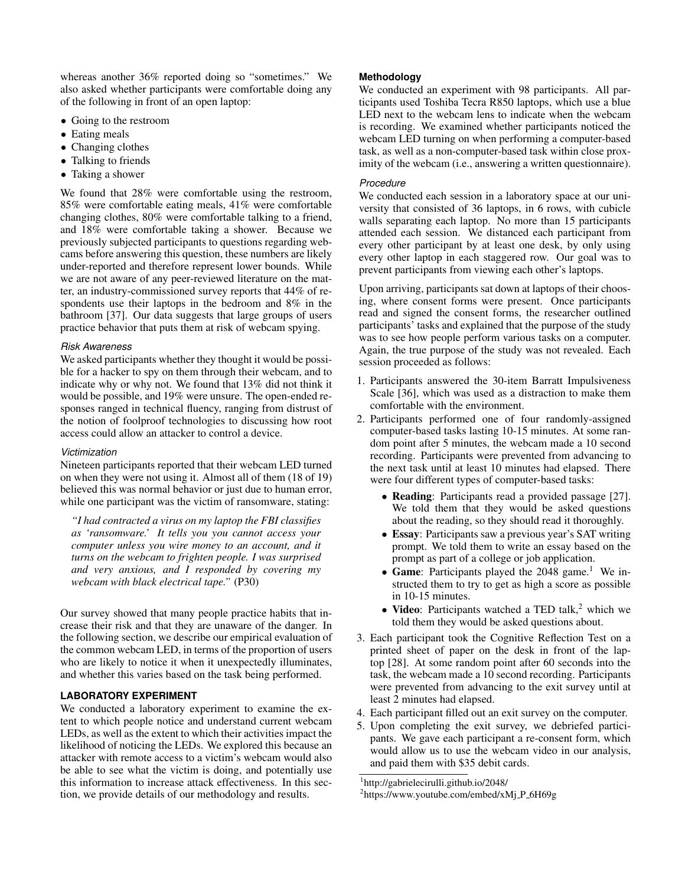whereas another 36% reported doing so "sometimes." We also asked whether participants were comfortable doing any of the following in front of an open laptop:

- Going to the restroom
- Eating meals
- Changing clothes
- Talking to friends
- Taking a shower

We found that 28% were comfortable using the restroom, 85% were comfortable eating meals, 41% were comfortable changing clothes, 80% were comfortable talking to a friend, and 18% were comfortable taking a shower. Because we previously subjected participants to questions regarding webcams before answering this question, these numbers are likely under-reported and therefore represent lower bounds. While we are not aware of any peer-reviewed literature on the matter, an industry-commissioned survey reports that 44% of respondents use their laptops in the bedroom and 8% in the bathroom [\[37\]](#page-9-20). Our data suggests that large groups of users practice behavior that puts them at risk of webcam spying.

## *Risk Awareness*

We asked participants whether they thought it would be possible for a hacker to spy on them through their webcam, and to indicate why or why not. We found that 13% did not think it would be possible, and 19% were unsure. The open-ended responses ranged in technical fluency, ranging from distrust of the notion of foolproof technologies to discussing how root access could allow an attacker to control a device.

#### *Victimization*

Nineteen participants reported that their webcam LED turned on when they were not using it. Almost all of them (18 of 19) believed this was normal behavior or just due to human error, while one participant was the victim of ransomware, stating:

*"I had contracted a virus on my laptop the FBI classifies as 'ransomware.' It tells you you cannot access your computer unless you wire money to an account, and it turns on the webcam to frighten people. I was surprised and very anxious, and I responded by covering my webcam with black electrical tape."* (P30)

Our survey showed that many people practice habits that increase their risk and that they are unaware of the danger. In the following section, we describe our empirical evaluation of the common webcam LED, in terms of the proportion of users who are likely to notice it when it unexpectedly illuminates, and whether this varies based on the task being performed.

## **LABORATORY EXPERIMENT**

We conducted a laboratory experiment to examine the extent to which people notice and understand current webcam LEDs, as well as the extent to which their activities impact the likelihood of noticing the LEDs. We explored this because an attacker with remote access to a victim's webcam would also be able to see what the victim is doing, and potentially use this information to increase attack effectiveness. In this section, we provide details of our methodology and results.

## **Methodology**

We conducted an experiment with 98 participants. All participants used Toshiba Tecra R850 laptops, which use a blue LED next to the webcam lens to indicate when the webcam is recording. We examined whether participants noticed the webcam LED turning on when performing a computer-based task, as well as a non-computer-based task within close proximity of the webcam (i.e., answering a written questionnaire).

## *Procedure*

We conducted each session in a laboratory space at our university that consisted of 36 laptops, in 6 rows, with cubicle walls separating each laptop. No more than 15 participants attended each session. We distanced each participant from every other participant by at least one desk, by only using every other laptop in each staggered row. Our goal was to prevent participants from viewing each other's laptops.

Upon arriving, participants sat down at laptops of their choosing, where consent forms were present. Once participants read and signed the consent forms, the researcher outlined participants' tasks and explained that the purpose of the study was to see how people perform various tasks on a computer. Again, the true purpose of the study was not revealed. Each session proceeded as follows:

- 1. Participants answered the 30-item Barratt Impulsiveness Scale [\[36\]](#page-9-21), which was used as a distraction to make them comfortable with the environment.
- 2. Participants performed one of four randomly-assigned computer-based tasks lasting 10-15 minutes. At some random point after 5 minutes, the webcam made a 10 second recording. Participants were prevented from advancing to the next task until at least 10 minutes had elapsed. There were four different types of computer-based tasks:
	- Reading: Participants read a provided passage [\[27\]](#page-9-22). We told them that they would be asked questions about the reading, so they should read it thoroughly.
	- Essay: Participants saw a previous year's SAT writing prompt. We told them to write an essay based on the prompt as part of a college or job application.
	- Game: Participants played the  $2048$  game.<sup>[1](#page-2-0)</sup> We instructed them to try to get as high a score as possible in 10-15 minutes.
	- Video: Participants watched a TED talk,<sup>[2](#page-2-1)</sup> which we told them they would be asked questions about.
- 3. Each participant took the Cognitive Reflection Test on a printed sheet of paper on the desk in front of the laptop [\[28\]](#page-9-23). At some random point after 60 seconds into the task, the webcam made a 10 second recording. Participants were prevented from advancing to the exit survey until at least 2 minutes had elapsed.
- 4. Each participant filled out an exit survey on the computer.
- 5. Upon completing the exit survey, we debriefed participants. We gave each participant a re-consent form, which would allow us to use the webcam video in our analysis, and paid them with \$35 debit cards.

<span id="page-2-0"></span><sup>1</sup> http://gabrielecirulli.github.io/2048/

<span id="page-2-1"></span> $^{2}$ https://www.youtube.com/embed/xMj\_P\_6H69g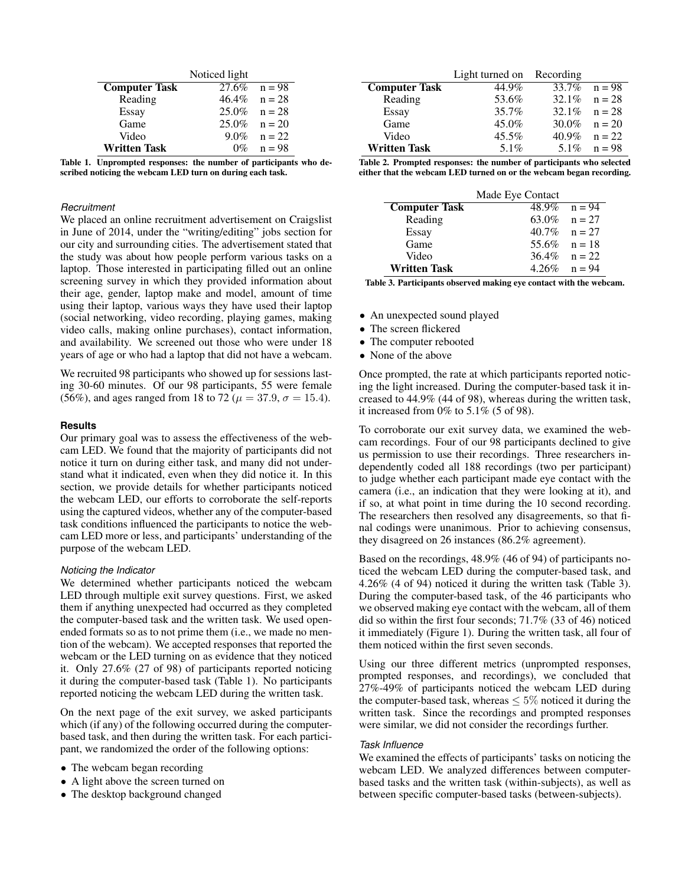|                      | Noticed light |                 |
|----------------------|---------------|-----------------|
| <b>Computer Task</b> |               | $27.6\%$ n = 98 |
| Reading              |               | $46.4\%$ n = 28 |
| Essay                |               | $25.0\%$ n = 28 |
| Game                 |               | $25.0\%$ n = 20 |
| Video                |               | 9.0\% $n = 22$  |
| <b>Written Task</b>  |               | $0\%$ $n = 98$  |

<span id="page-3-0"></span>

| Table 1. Unprompted responses: the number of participants who de- |  |  |  |
|-------------------------------------------------------------------|--|--|--|
| scribed noticing the webcam LED turn on during each task.         |  |  |  |

#### *Recruitment*

We placed an online recruitment advertisement on Craigslist in June of 2014, under the "writing/editing" jobs section for our city and surrounding cities. The advertisement stated that the study was about how people perform various tasks on a laptop. Those interested in participating filled out an online screening survey in which they provided information about their age, gender, laptop make and model, amount of time using their laptop, various ways they have used their laptop (social networking, video recording, playing games, making video calls, making online purchases), contact information, and availability. We screened out those who were under 18 years of age or who had a laptop that did not have a webcam.

We recruited 98 participants who showed up for sessions lasting 30-60 minutes. Of our 98 participants, 55 were female (56%), and ages ranged from 18 to 72 ( $\mu = 37.9, \sigma = 15.4$ ).

#### **Results**

Our primary goal was to assess the effectiveness of the webcam LED. We found that the majority of participants did not notice it turn on during either task, and many did not understand what it indicated, even when they did notice it. In this section, we provide details for whether participants noticed the webcam LED, our efforts to corroborate the self-reports using the captured videos, whether any of the computer-based task conditions influenced the participants to notice the webcam LED more or less, and participants' understanding of the purpose of the webcam LED.

#### *Noticing the Indicator*

We determined whether participants noticed the webcam LED through multiple exit survey questions. First, we asked them if anything unexpected had occurred as they completed the computer-based task and the written task. We used openended formats so as to not prime them (i.e., we made no mention of the webcam). We accepted responses that reported the webcam or the LED turning on as evidence that they noticed it. Only 27.6% (27 of 98) of participants reported noticing it during the computer-based task (Table [1\)](#page-3-0). No participants reported noticing the webcam LED during the written task.

On the next page of the exit survey, we asked participants which (if any) of the following occurred during the computerbased task, and then during the written task. For each participant, we randomized the order of the following options:

- The webcam began recording
- A light above the screen turned on
- The desktop background changed

|                      | Light turned on Recording |                 |                 |
|----------------------|---------------------------|-----------------|-----------------|
| <b>Computer Task</b> | 44.9%                     | $33.7\%$ n = 98 |                 |
| Reading              | 53.6%                     | $32.1\%$ n = 28 |                 |
| Essay                | 35.7%                     | $32.1\%$ n = 28 |                 |
| Game                 | $45.0\%$                  | $30.0\%$ n = 20 |                 |
| Video                | $45.5\%$                  |                 | $40.9\%$ n = 22 |
| <b>Written Task</b>  | $5.1\%$                   |                 | $5.1\%$ n = 98  |

Table 2. Prompted responses: the number of participants who selected either that the webcam LED turned on or the webcam began recording.

|                      | Made Eye Contact |                 |
|----------------------|------------------|-----------------|
| <b>Computer Task</b> |                  | $48.9\%$ n = 94 |
| Reading              |                  | $63.0\%$ n = 27 |
| Essay                |                  | $40.7\%$ n = 27 |
| Game                 |                  | $55.6\%$ n = 18 |
| Video                |                  | $36.4\%$ n = 22 |
| <b>Written Task</b>  |                  | $4.26\%$ n = 94 |

<span id="page-3-1"></span>Table 3. Participants observed making eye contact with the webcam.

- An unexpected sound played
- The screen flickered
- The computer rebooted
- None of the above

Once prompted, the rate at which participants reported noticing the light increased. During the computer-based task it increased to 44.9% (44 of 98), whereas during the written task, it increased from  $0\%$  to 5.1% (5 of 98).

To corroborate our exit survey data, we examined the webcam recordings. Four of our 98 participants declined to give us permission to use their recordings. Three researchers independently coded all 188 recordings (two per participant) to judge whether each participant made eye contact with the camera (i.e., an indication that they were looking at it), and if so, at what point in time during the 10 second recording. The researchers then resolved any disagreements, so that final codings were unanimous. Prior to achieving consensus, they disagreed on 26 instances (86.2% agreement).

Based on the recordings, 48.9% (46 of 94) of participants noticed the webcam LED during the computer-based task, and 4.26% (4 of 94) noticed it during the written task (Table [3\)](#page-3-1). During the computer-based task, of the 46 participants who we observed making eye contact with the webcam, all of them did so within the first four seconds; 71.7% (33 of 46) noticed it immediately (Figure [1\)](#page-4-0). During the written task, all four of them noticed within the first seven seconds.

Using our three different metrics (unprompted responses, prompted responses, and recordings), we concluded that 27%-49% of participants noticed the webcam LED during the computer-based task, whereas  $\leq 5\%$  noticed it during the written task. Since the recordings and prompted responses were similar, we did not consider the recordings further.

#### *Task Influence*

We examined the effects of participants' tasks on noticing the webcam LED. We analyzed differences between computerbased tasks and the written task (within-subjects), as well as between specific computer-based tasks (between-subjects).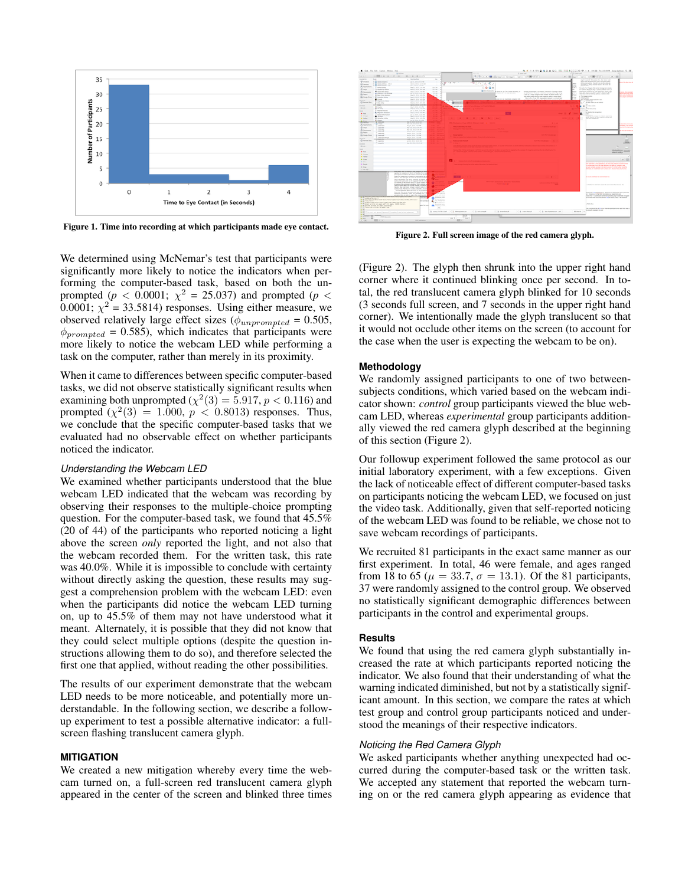

<span id="page-4-0"></span>Figure 1. Time into recording at which participants made eye contact.

We determined using McNemar's test that participants were significantly more likely to notice the indicators when performing the computer-based task, based on both the unprompted ( $p < 0.0001$ ;  $\chi^2 = 25.037$ ) and prompted ( $p <$ 0.0001;  $\chi^2$  = 33.5814) responses. Using either measure, we observed relatively large effect sizes ( $\phi_{unpromoted} = 0.505$ ,  $\phi_{prompted}$  = 0.585), which indicates that participants were more likely to notice the webcam LED while performing a task on the computer, rather than merely in its proximity.

When it came to differences between specific computer-based tasks, we did not observe statistically significant results when examining both unprompted ( $\chi^2(3) = 5.917, p < 0.116$ ) and prompted  $(\chi^2(3) = 1.000, p < 0.8013)$  responses. Thus, we conclude that the specific computer-based tasks that we evaluated had no observable effect on whether participants noticed the indicator.

#### *Understanding the Webcam LED*

We examined whether participants understood that the blue webcam LED indicated that the webcam was recording by observing their responses to the multiple-choice prompting question. For the computer-based task, we found that 45.5% (20 of 44) of the participants who reported noticing a light above the screen *only* reported the light, and not also that the webcam recorded them. For the written task, this rate was 40.0%. While it is impossible to conclude with certainty without directly asking the question, these results may suggest a comprehension problem with the webcam LED: even when the participants did notice the webcam LED turning on, up to 45.5% of them may not have understood what it meant. Alternately, it is possible that they did not know that they could select multiple options (despite the question instructions allowing them to do so), and therefore selected the first one that applied, without reading the other possibilities.

The results of our experiment demonstrate that the webcam LED needs to be more noticeable, and potentially more understandable. In the following section, we describe a followup experiment to test a possible alternative indicator: a fullscreen flashing translucent camera glyph.

#### **MITIGATION**

We created a new mitigation whereby every time the webcam turned on, a full-screen red translucent camera glyph appeared in the center of the screen and blinked three times



<span id="page-4-1"></span>Figure 2. Full screen image of the red camera glyph.

(Figure [2\)](#page-4-1). The glyph then shrunk into the upper right hand corner where it continued blinking once per second. In total, the red translucent camera glyph blinked for 10 seconds (3 seconds full screen, and 7 seconds in the upper right hand corner). We intentionally made the glyph translucent so that it would not occlude other items on the screen (to account for the case when the user is expecting the webcam to be on).

## **Methodology**

We randomly assigned participants to one of two betweensubjects conditions, which varied based on the webcam indicator shown: *control* group participants viewed the blue webcam LED, whereas *experimental* group participants additionally viewed the red camera glyph described at the beginning of this section (Figure [2\)](#page-4-1).

Our followup experiment followed the same protocol as our initial laboratory experiment, with a few exceptions. Given the lack of noticeable effect of different computer-based tasks on participants noticing the webcam LED, we focused on just the video task. Additionally, given that self-reported noticing of the webcam LED was found to be reliable, we chose not to save webcam recordings of participants.

We recruited 81 participants in the exact same manner as our first experiment. In total, 46 were female, and ages ranged from 18 to 65 ( $\mu = 33.7$ ,  $\sigma = 13.1$ ). Of the 81 participants, 37 were randomly assigned to the control group. We observed no statistically significant demographic differences between participants in the control and experimental groups.

## **Results**

We found that using the red camera glyph substantially increased the rate at which participants reported noticing the indicator. We also found that their understanding of what the warning indicated diminished, but not by a statistically significant amount. In this section, we compare the rates at which test group and control group participants noticed and understood the meanings of their respective indicators.

#### *Noticing the Red Camera Glyph*

We asked participants whether anything unexpected had occurred during the computer-based task or the written task. We accepted any statement that reported the webcam turning on or the red camera glyph appearing as evidence that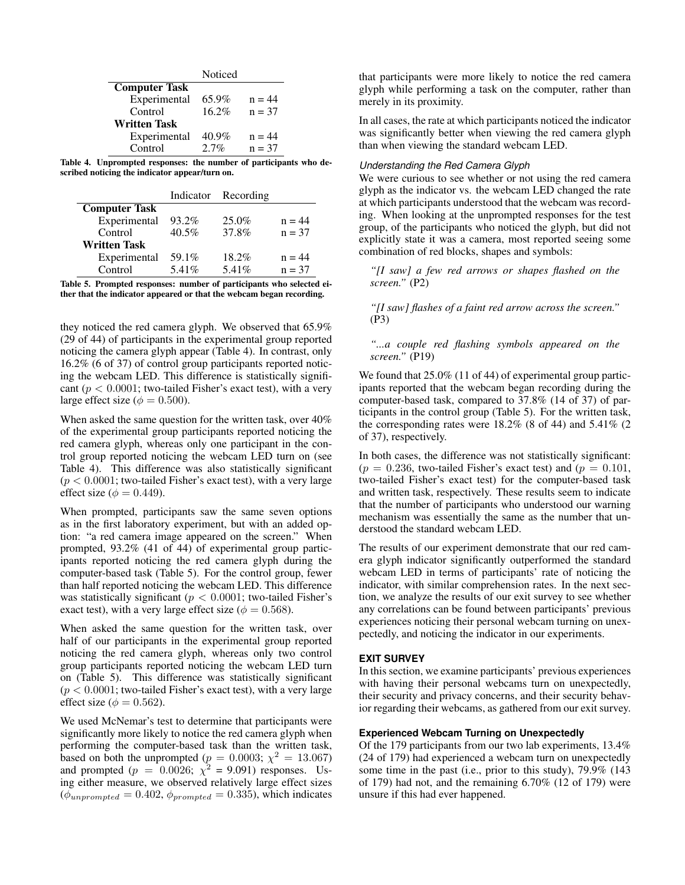|                      | Noticed  |          |  |
|----------------------|----------|----------|--|
| <b>Computer Task</b> |          |          |  |
| Experimental         | 65.9%    | $n = 44$ |  |
| Control              | $16.2\%$ | $n = 37$ |  |
| <b>Written Task</b>  |          |          |  |
| Experimental         | $40.9\%$ | $n = 44$ |  |
| Control              | 2.7%     | $n = 37$ |  |

<span id="page-5-0"></span>Table 4. Unprompted responses: the number of participants who described noticing the indicator appear/turn on.

|                      |          | Indicator Recording |          |
|----------------------|----------|---------------------|----------|
| <b>Computer Task</b> |          |                     |          |
| Experimental         | 93.2%    | 25.0%               | $n = 44$ |
| Control              | $40.5\%$ | 37.8%               | $n = 37$ |
| <b>Written Task</b>  |          |                     |          |
| Experimental         | 59.1%    | 18.2%               | $n = 44$ |
| Control              | 5.41%    | 5.41%               | $n = 37$ |

<span id="page-5-1"></span>Table 5. Prompted responses: number of participants who selected either that the indicator appeared or that the webcam began recording.

they noticed the red camera glyph. We observed that 65.9% (29 of 44) of participants in the experimental group reported noticing the camera glyph appear (Table [4\)](#page-5-0). In contrast, only 16.2% (6 of 37) of control group participants reported noticing the webcam LED. This difference is statistically significant ( $p < 0.0001$ ; two-tailed Fisher's exact test), with a very large effect size ( $\phi = 0.500$ ).

When asked the same question for the written task, over 40% of the experimental group participants reported noticing the red camera glyph, whereas only one participant in the control group reported noticing the webcam LED turn on (see Table [4\)](#page-5-0). This difference was also statistically significant  $(p < 0.0001$ ; two-tailed Fisher's exact test), with a very large effect size ( $\phi = 0.449$ ).

When prompted, participants saw the same seven options as in the first laboratory experiment, but with an added option: "a red camera image appeared on the screen." When prompted, 93.2% (41 of 44) of experimental group participants reported noticing the red camera glyph during the computer-based task (Table [5\)](#page-5-1). For the control group, fewer than half reported noticing the webcam LED. This difference was statistically significant ( $p < 0.0001$ ; two-tailed Fisher's exact test), with a very large effect size ( $\phi = 0.568$ ).

When asked the same question for the written task, over half of our participants in the experimental group reported noticing the red camera glyph, whereas only two control group participants reported noticing the webcam LED turn on (Table [5\)](#page-5-1). This difference was statistically significant  $(p < 0.0001$ ; two-tailed Fisher's exact test), with a very large effect size ( $\phi = 0.562$ ).

We used McNemar's test to determine that participants were significantly more likely to notice the red camera glyph when performing the computer-based task than the written task, based on both the unprompted ( $p = 0.0003$ ;  $\chi^2 = 13.067$ ) and prompted ( $p = 0.0026$ ;  $\chi^2 = 9.091$ ) responses. Using either measure, we observed relatively large effect sizes  $(\phi_{unprompted} = 0.402, \phi_{prompted} = 0.335)$ , which indicates

that participants were more likely to notice the red camera glyph while performing a task on the computer, rather than merely in its proximity.

In all cases, the rate at which participants noticed the indicator was significantly better when viewing the red camera glyph than when viewing the standard webcam LED.

## *Understanding the Red Camera Glyph*

We were curious to see whether or not using the red camera glyph as the indicator vs. the webcam LED changed the rate at which participants understood that the webcam was recording. When looking at the unprompted responses for the test group, of the participants who noticed the glyph, but did not explicitly state it was a camera, most reported seeing some combination of red blocks, shapes and symbols:

*"[I saw] a few red arrows or shapes flashed on the screen."* (P2)

## *"[I saw] flashes of a faint red arrow across the screen."* (P3)

*"...a couple red flashing symbols appeared on the screen."* (P19)

We found that  $25.0\%$  (11 of 44) of experimental group participants reported that the webcam began recording during the computer-based task, compared to 37.8% (14 of 37) of participants in the control group (Table 5). For the written task, the corresponding rates were  $18.2\%$  (8 of 44) and  $5.41\%$  (2 of 37), respectively.

In both cases, the difference was not statistically significant:  $(p = 0.236$ , two-tailed Fisher's exact test) and  $(p = 0.101)$ , two-tailed Fisher's exact test) for the computer-based task and written task, respectively. These results seem to indicate that the number of participants who understood our warning mechanism was essentially the same as the number that understood the standard webcam LED.

The results of our experiment demonstrate that our red camera glyph indicator significantly outperformed the standard webcam LED in terms of participants' rate of noticing the indicator, with similar comprehension rates. In the next section, we analyze the results of our exit survey to see whether any correlations can be found between participants' previous experiences noticing their personal webcam turning on unexpectedly, and noticing the indicator in our experiments.

## **EXIT SURVEY**

In this section, we examine participants' previous experiences with having their personal webcams turn on unexpectedly, their security and privacy concerns, and their security behavior regarding their webcams, as gathered from our exit survey.

## **Experienced Webcam Turning on Unexpectedly**

Of the 179 participants from our two lab experiments, 13.4% (24 of 179) had experienced a webcam turn on unexpectedly some time in the past (i.e., prior to this study), 79.9% (143 of 179) had not, and the remaining 6.70% (12 of 179) were unsure if this had ever happened.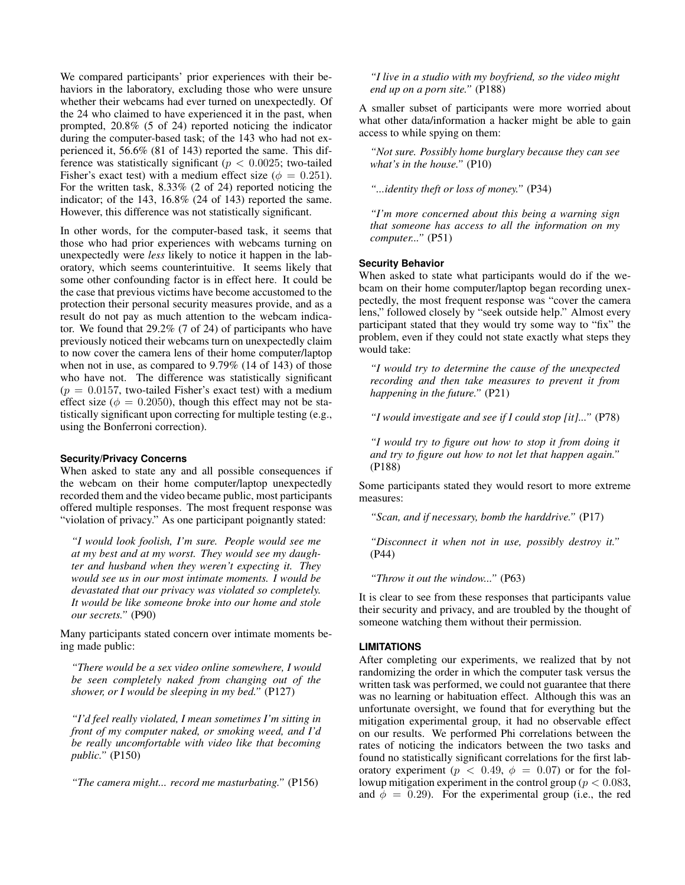We compared participants' prior experiences with their behaviors in the laboratory, excluding those who were unsure whether their webcams had ever turned on unexpectedly. Of the 24 who claimed to have experienced it in the past, when prompted, 20.8% (5 of 24) reported noticing the indicator during the computer-based task; of the 143 who had not experienced it, 56.6% (81 of 143) reported the same. This difference was statistically significant ( $p < 0.0025$ ; two-tailed Fisher's exact test) with a medium effect size ( $\phi = 0.251$ ). For the written task, 8.33% (2 of 24) reported noticing the indicator; of the 143, 16.8% (24 of 143) reported the same. However, this difference was not statistically significant.

In other words, for the computer-based task, it seems that those who had prior experiences with webcams turning on unexpectedly were *less* likely to notice it happen in the laboratory, which seems counterintuitive. It seems likely that some other confounding factor is in effect here. It could be the case that previous victims have become accustomed to the protection their personal security measures provide, and as a result do not pay as much attention to the webcam indicator. We found that 29.2% (7 of 24) of participants who have previously noticed their webcams turn on unexpectedly claim to now cover the camera lens of their home computer/laptop when not in use, as compared to 9.79% (14 of 143) of those who have not. The difference was statistically significant  $(p = 0.0157$ , two-tailed Fisher's exact test) with a medium effect size ( $\phi = 0.2050$ ), though this effect may not be statistically significant upon correcting for multiple testing (e.g., using the Bonferroni correction).

## **Security/Privacy Concerns**

When asked to state any and all possible consequences if the webcam on their home computer/laptop unexpectedly recorded them and the video became public, most participants offered multiple responses. The most frequent response was "violation of privacy." As one participant poignantly stated:

*"I would look foolish, I'm sure. People would see me at my best and at my worst. They would see my daughter and husband when they weren't expecting it. They would see us in our most intimate moments. I would be devastated that our privacy was violated so completely. It would be like someone broke into our home and stole our secrets."* (P90)

Many participants stated concern over intimate moments being made public:

*"There would be a sex video online somewhere, I would be seen completely naked from changing out of the shower, or I would be sleeping in my bed."* (P127)

*"I'd feel really violated, I mean sometimes I'm sitting in front of my computer naked, or smoking weed, and I'd be really uncomfortable with video like that becoming public."* (P150)

*"The camera might... record me masturbating."* (P156)

*"I live in a studio with my boyfriend, so the video might end up on a porn site."* (P188)

A smaller subset of participants were more worried about what other data/information a hacker might be able to gain access to while spying on them:

*"Not sure. Possibly home burglary because they can see what's in the house."* (P10)

*"...identity theft or loss of money."* (P34)

*"I'm more concerned about this being a warning sign that someone has access to all the information on my computer..."* (P51)

## **Security Behavior**

When asked to state what participants would do if the webcam on their home computer/laptop began recording unexpectedly, the most frequent response was "cover the camera lens," followed closely by "seek outside help." Almost every participant stated that they would try some way to "fix" the problem, even if they could not state exactly what steps they would take:

*"I would try to determine the cause of the unexpected recording and then take measures to prevent it from happening in the future."* (P21)

*"I would investigate and see if I could stop [it]..."* (P78)

*"I would try to figure out how to stop it from doing it and try to figure out how to not let that happen again."* (P188)

Some participants stated they would resort to more extreme measures:

*"Scan, and if necessary, bomb the harddrive."* (P17)

*"Disconnect it when not in use, possibly destroy it."* (P44)

*"Throw it out the window..."* (P63)

It is clear to see from these responses that participants value their security and privacy, and are troubled by the thought of someone watching them without their permission.

## **LIMITATIONS**

After completing our experiments, we realized that by not randomizing the order in which the computer task versus the written task was performed, we could not guarantee that there was no learning or habituation effect. Although this was an unfortunate oversight, we found that for everything but the mitigation experimental group, it had no observable effect on our results. We performed Phi correlations between the rates of noticing the indicators between the two tasks and found no statistically significant correlations for the first laboratory experiment ( $p < 0.49$ ,  $\phi = 0.07$ ) or for the followup mitigation experiment in the control group ( $p < 0.083$ , and  $\phi = 0.29$ ). For the experimental group (i.e., the red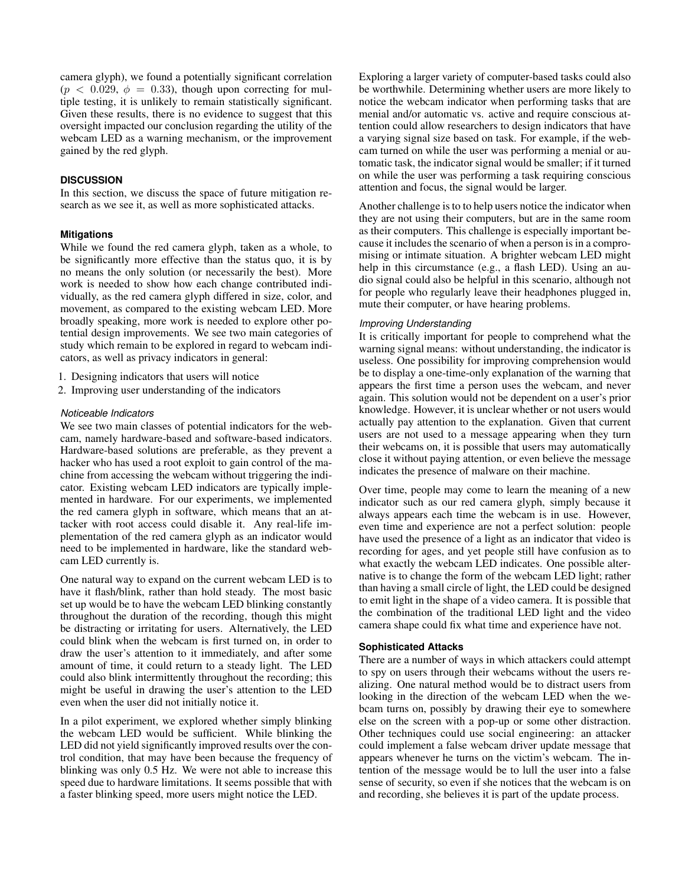camera glyph), we found a potentially significant correlation  $(p < 0.029, \phi = 0.33)$ , though upon correcting for multiple testing, it is unlikely to remain statistically significant. Given these results, there is no evidence to suggest that this oversight impacted our conclusion regarding the utility of the webcam LED as a warning mechanism, or the improvement gained by the red glyph.

## **DISCUSSION**

In this section, we discuss the space of future mitigation research as we see it, as well as more sophisticated attacks.

#### **Mitigations**

While we found the red camera glyph, taken as a whole, to be significantly more effective than the status quo, it is by no means the only solution (or necessarily the best). More work is needed to show how each change contributed individually, as the red camera glyph differed in size, color, and movement, as compared to the existing webcam LED. More broadly speaking, more work is needed to explore other potential design improvements. We see two main categories of study which remain to be explored in regard to webcam indicators, as well as privacy indicators in general:

- 1. Designing indicators that users will notice
- 2. Improving user understanding of the indicators

#### *Noticeable Indicators*

We see two main classes of potential indicators for the webcam, namely hardware-based and software-based indicators. Hardware-based solutions are preferable, as they prevent a hacker who has used a root exploit to gain control of the machine from accessing the webcam without triggering the indicator. Existing webcam LED indicators are typically implemented in hardware. For our experiments, we implemented the red camera glyph in software, which means that an attacker with root access could disable it. Any real-life implementation of the red camera glyph as an indicator would need to be implemented in hardware, like the standard webcam LED currently is.

One natural way to expand on the current webcam LED is to have it flash/blink, rather than hold steady. The most basic set up would be to have the webcam LED blinking constantly throughout the duration of the recording, though this might be distracting or irritating for users. Alternatively, the LED could blink when the webcam is first turned on, in order to draw the user's attention to it immediately, and after some amount of time, it could return to a steady light. The LED could also blink intermittently throughout the recording; this might be useful in drawing the user's attention to the LED even when the user did not initially notice it.

In a pilot experiment, we explored whether simply blinking the webcam LED would be sufficient. While blinking the LED did not yield significantly improved results over the control condition, that may have been because the frequency of blinking was only 0.5 Hz. We were not able to increase this speed due to hardware limitations. It seems possible that with a faster blinking speed, more users might notice the LED.

Exploring a larger variety of computer-based tasks could also be worthwhile. Determining whether users are more likely to notice the webcam indicator when performing tasks that are menial and/or automatic vs. active and require conscious attention could allow researchers to design indicators that have a varying signal size based on task. For example, if the webcam turned on while the user was performing a menial or automatic task, the indicator signal would be smaller; if it turned on while the user was performing a task requiring conscious attention and focus, the signal would be larger.

Another challenge is to to help users notice the indicator when they are not using their computers, but are in the same room as their computers. This challenge is especially important because it includes the scenario of when a person is in a compromising or intimate situation. A brighter webcam LED might help in this circumstance (e.g., a flash LED). Using an audio signal could also be helpful in this scenario, although not for people who regularly leave their headphones plugged in, mute their computer, or have hearing problems.

#### *Improving Understanding*

It is critically important for people to comprehend what the warning signal means: without understanding, the indicator is useless. One possibility for improving comprehension would be to display a one-time-only explanation of the warning that appears the first time a person uses the webcam, and never again. This solution would not be dependent on a user's prior knowledge. However, it is unclear whether or not users would actually pay attention to the explanation. Given that current users are not used to a message appearing when they turn their webcams on, it is possible that users may automatically close it without paying attention, or even believe the message indicates the presence of malware on their machine.

Over time, people may come to learn the meaning of a new indicator such as our red camera glyph, simply because it always appears each time the webcam is in use. However, even time and experience are not a perfect solution: people have used the presence of a light as an indicator that video is recording for ages, and yet people still have confusion as to what exactly the webcam LED indicates. One possible alternative is to change the form of the webcam LED light; rather than having a small circle of light, the LED could be designed to emit light in the shape of a video camera. It is possible that the combination of the traditional LED light and the video camera shape could fix what time and experience have not.

#### **Sophisticated Attacks**

There are a number of ways in which attackers could attempt to spy on users through their webcams without the users realizing. One natural method would be to distract users from looking in the direction of the webcam LED when the webcam turns on, possibly by drawing their eye to somewhere else on the screen with a pop-up or some other distraction. Other techniques could use social engineering: an attacker could implement a false webcam driver update message that appears whenever he turns on the victim's webcam. The intention of the message would be to lull the user into a false sense of security, so even if she notices that the webcam is on and recording, she believes it is part of the update process.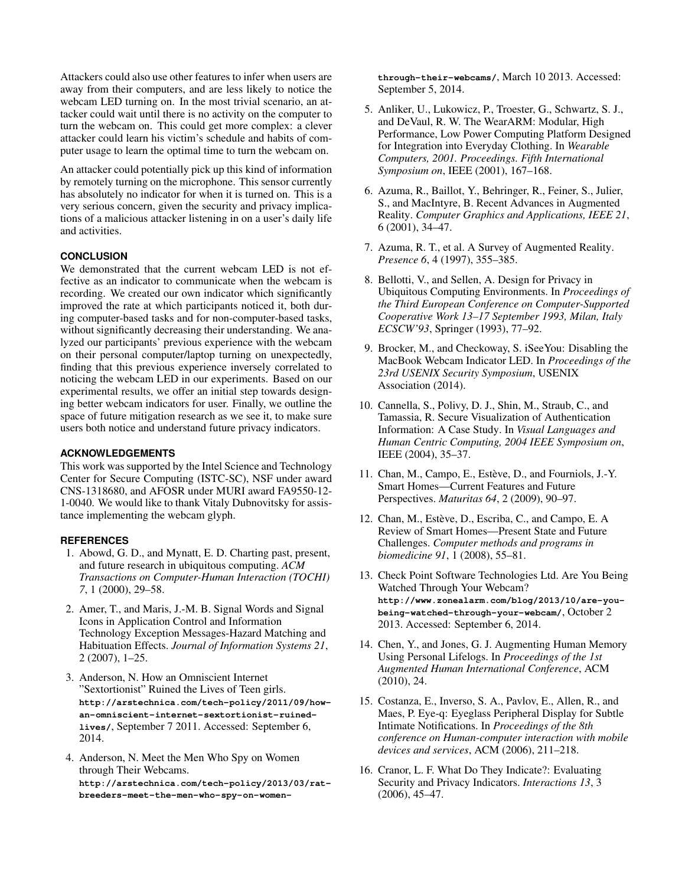Attackers could also use other features to infer when users are away from their computers, and are less likely to notice the webcam LED turning on. In the most trivial scenario, an attacker could wait until there is no activity on the computer to turn the webcam on. This could get more complex: a clever attacker could learn his victim's schedule and habits of computer usage to learn the optimal time to turn the webcam on.

An attacker could potentially pick up this kind of information by remotely turning on the microphone. This sensor currently has absolutely no indicator for when it is turned on. This is a very serious concern, given the security and privacy implications of a malicious attacker listening in on a user's daily life and activities.

## **CONCLUSION**

We demonstrated that the current webcam LED is not effective as an indicator to communicate when the webcam is recording. We created our own indicator which significantly improved the rate at which participants noticed it, both during computer-based tasks and for non-computer-based tasks, without significantly decreasing their understanding. We analyzed our participants' previous experience with the webcam on their personal computer/laptop turning on unexpectedly, finding that this previous experience inversely correlated to noticing the webcam LED in our experiments. Based on our experimental results, we offer an initial step towards designing better webcam indicators for user. Finally, we outline the space of future mitigation research as we see it, to make sure users both notice and understand future privacy indicators.

## **ACKNOWLEDGEMENTS**

This work was supported by the Intel Science and Technology Center for Secure Computing (ISTC-SC), NSF under award CNS-1318680, and AFOSR under MURI award FA9550-12- 1-0040. We would like to thank Vitaly Dubnovitsky for assistance implementing the webcam glyph.

## <span id="page-8-7"></span>**REFERENCES**

- 1. Abowd, G. D., and Mynatt, E. D. Charting past, present, and future research in ubiquitous computing. *ACM Transactions on Computer-Human Interaction (TOCHI) 7*, 1 (2000), 29–58.
- <span id="page-8-5"></span>2. Amer, T., and Maris, J.-M. B. Signal Words and Signal Icons in Application Control and Information Technology Exception Messages-Hazard Matching and Habituation Effects. *Journal of Information Systems 21*, 2 (2007), 1–25.
- <span id="page-8-2"></span>3. Anderson, N. How an Omniscient Internet "Sextortionist" Ruined the Lives of Teen girls. **[http://arstechnica.com/tech-policy/2011/09/how](http://arstechnica.com/tech-policy/2011/09/how-an-omniscient-internet-sextortionist-ruined-lives/)[an-omniscient-internet-sextortionist-ruined](http://arstechnica.com/tech-policy/2011/09/how-an-omniscient-internet-sextortionist-ruined-lives/)[lives/](http://arstechnica.com/tech-policy/2011/09/how-an-omniscient-internet-sextortionist-ruined-lives/)**, September 7 2011. Accessed: September 6, 2014.
- <span id="page-8-1"></span>4. Anderson, N. Meet the Men Who Spy on Women through Their Webcams. **[http://arstechnica.com/tech-policy/2013/03/rat](http://arstechnica.com/tech-policy/2013/03/rat-breeders-meet-the-men-who-spy-on-women-through-their-webcams/)[breeders-meet-the-men-who-spy-on-women-](http://arstechnica.com/tech-policy/2013/03/rat-breeders-meet-the-men-who-spy-on-women-through-their-webcams/)**

**[through-their-webcams/](http://arstechnica.com/tech-policy/2013/03/rat-breeders-meet-the-men-who-spy-on-women-through-their-webcams/)**, March 10 2013. Accessed: September 5, 2014.

- <span id="page-8-13"></span>5. Anliker, U., Lukowicz, P., Troester, G., Schwartz, S. J., and DeVaul, R. W. The WearARM: Modular, High Performance, Low Power Computing Platform Designed for Integration into Everyday Clothing. In *Wearable Computers, 2001. Proceedings. Fifth International Symposium on*, IEEE (2001), 167–168.
- <span id="page-8-12"></span>6. Azuma, R., Baillot, Y., Behringer, R., Feiner, S., Julier, S., and MacIntyre, B. Recent Advances in Augmented Reality. *Computer Graphics and Applications, IEEE 21*, 6 (2001), 34–47.
- <span id="page-8-11"></span>7. Azuma, R. T., et al. A Survey of Augmented Reality. *Presence 6*, 4 (1997), 355–385.
- <span id="page-8-14"></span>8. Bellotti, V., and Sellen, A. Design for Privacy in Ubiquitous Computing Environments. In *Proceedings of the Third European Conference on Computer-Supported Cooperative Work 13–17 September 1993, Milan, Italy ECSCW'93*, Springer (1993), 77–92.
- <span id="page-8-3"></span>9. Brocker, M., and Checkoway, S. iSeeYou: Disabling the MacBook Webcam Indicator LED. In *Proceedings of the 23rd USENIX Security Symposium*, USENIX Association (2014).
- <span id="page-8-6"></span>10. Cannella, S., Polivy, D. J., Shin, M., Straub, C., and Tamassia, R. Secure Visualization of Authentication Information: A Case Study. In *Visual Languages and Human Centric Computing, 2004 IEEE Symposium on*, IEEE (2004), 35–37.
- <span id="page-8-10"></span>11. Chan, M., Campo, E., Estève, D., and Fourniols, J.-Y. Smart Homes—Current Features and Future Perspectives. *Maturitas 64*, 2 (2009), 90–97.
- <span id="page-8-9"></span>12. Chan, M., Estève, D., Escriba, C., and Campo, E. A Review of Smart Homes—Present State and Future Challenges. *Computer methods and programs in biomedicine 91*, 1 (2008), 55–81.
- <span id="page-8-0"></span>13. Check Point Software Technologies Ltd. Are You Being Watched Through Your Webcam? **[http://www.zonealarm.com/blog/2013/10/are-you](http://www.zonealarm.com/blog/2013/10/are-you-being-watched-through-your-webcam/)[being-watched-through-your-webcam/](http://www.zonealarm.com/blog/2013/10/are-you-being-watched-through-your-webcam/)**, October 2 2013. Accessed: September 6, 2014.
- <span id="page-8-8"></span>14. Chen, Y., and Jones, G. J. Augmenting Human Memory Using Personal Lifelogs. In *Proceedings of the 1st Augmented Human International Conference*, ACM (2010), 24.
- <span id="page-8-15"></span>15. Costanza, E., Inverso, S. A., Pavlov, E., Allen, R., and Maes, P. Eye-q: Eyeglass Peripheral Display for Subtle Intimate Notifications. In *Proceedings of the 8th conference on Human-computer interaction with mobile devices and services*, ACM (2006), 211–218.
- <span id="page-8-4"></span>16. Cranor, L. F. What Do They Indicate?: Evaluating Security and Privacy Indicators. *Interactions 13*, 3 (2006), 45–47.